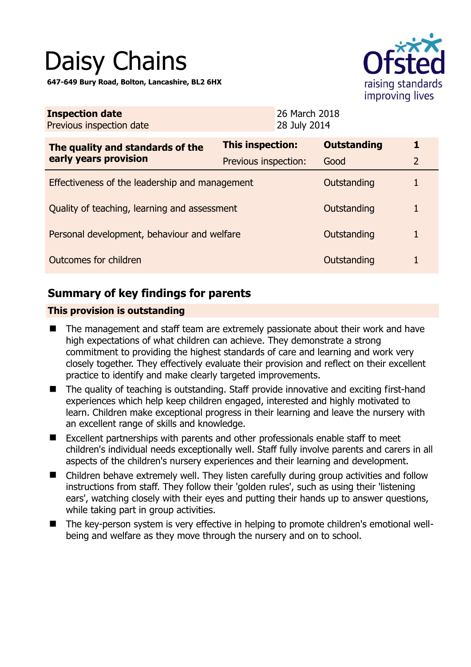# Daisy Chains

**647-649 Bury Road, Bolton, Lancashire, BL2 6HX** 



| This inspection:                               | <b>Outstanding</b> | 1                                                                                         |
|------------------------------------------------|--------------------|-------------------------------------------------------------------------------------------|
| Previous inspection:                           | Good               | $\overline{2}$                                                                            |
| Effectiveness of the leadership and management |                    | 1                                                                                         |
| Quality of teaching, learning and assessment   |                    | 1                                                                                         |
| Personal development, behaviour and welfare    |                    |                                                                                           |
| Outcomes for children                          |                    |                                                                                           |
|                                                |                    | 26 March 2018<br>28 July 2014<br>Outstanding<br>Outstanding<br>Outstanding<br>Outstanding |

# **Summary of key findings for parents**

## **This provision is outstanding**

- The management and staff team are extremely passionate about their work and have high expectations of what children can achieve. They demonstrate a strong commitment to providing the highest standards of care and learning and work very closely together. They effectively evaluate their provision and reflect on their excellent practice to identify and make clearly targeted improvements.
- The quality of teaching is outstanding. Staff provide innovative and exciting first-hand experiences which help keep children engaged, interested and highly motivated to learn. Children make exceptional progress in their learning and leave the nursery with an excellent range of skills and knowledge.
- Excellent partnerships with parents and other professionals enable staff to meet children's individual needs exceptionally well. Staff fully involve parents and carers in all aspects of the children's nursery experiences and their learning and development.
- Children behave extremely well. They listen carefully during group activities and follow instructions from staff. They follow their 'golden rules', such as using their 'listening ears', watching closely with their eyes and putting their hands up to answer questions, while taking part in group activities.
- The key-person system is very effective in helping to promote children's emotional wellbeing and welfare as they move through the nursery and on to school.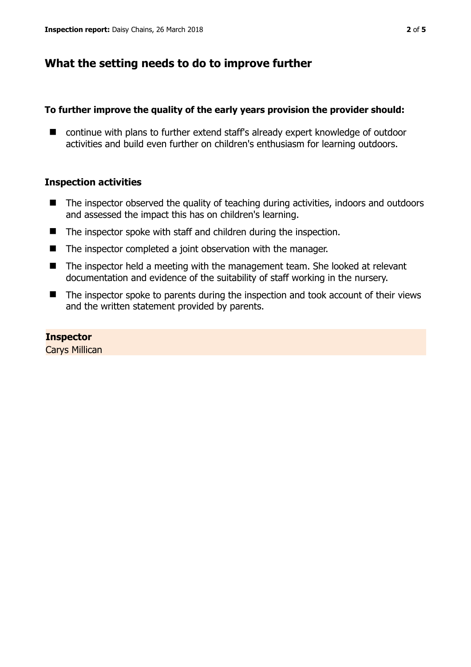# **What the setting needs to do to improve further**

## **To further improve the quality of the early years provision the provider should:**

■ continue with plans to further extend staff's already expert knowledge of outdoor activities and build even further on children's enthusiasm for learning outdoors.

## **Inspection activities**

- The inspector observed the quality of teaching during activities, indoors and outdoors and assessed the impact this has on children's learning.
- The inspector spoke with staff and children during the inspection.
- The inspector completed a joint observation with the manager.
- The inspector held a meeting with the management team. She looked at relevant documentation and evidence of the suitability of staff working in the nursery.
- The inspector spoke to parents during the inspection and took account of their views and the written statement provided by parents.

## **Inspector**

Carys Millican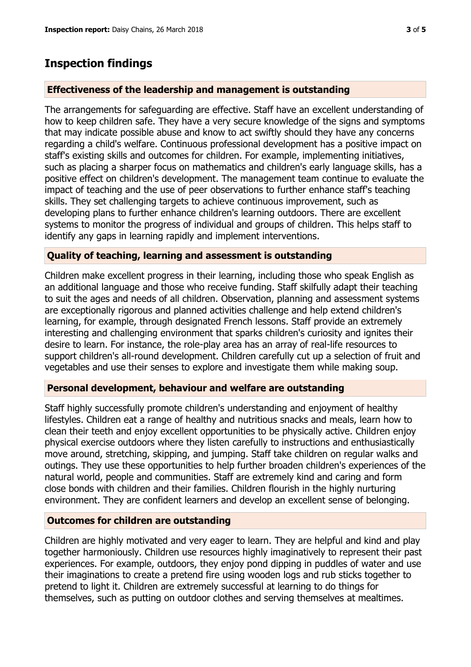## **Inspection findings**

#### **Effectiveness of the leadership and management is outstanding**

The arrangements for safeguarding are effective. Staff have an excellent understanding of how to keep children safe. They have a very secure knowledge of the signs and symptoms that may indicate possible abuse and know to act swiftly should they have any concerns regarding a child's welfare. Continuous professional development has a positive impact on staff's existing skills and outcomes for children. For example, implementing initiatives, such as placing a sharper focus on mathematics and children's early language skills, has a positive effect on children's development. The management team continue to evaluate the impact of teaching and the use of peer observations to further enhance staff's teaching skills. They set challenging targets to achieve continuous improvement, such as developing plans to further enhance children's learning outdoors. There are excellent systems to monitor the progress of individual and groups of children. This helps staff to identify any gaps in learning rapidly and implement interventions.

#### **Quality of teaching, learning and assessment is outstanding**

Children make excellent progress in their learning, including those who speak English as an additional language and those who receive funding. Staff skilfully adapt their teaching to suit the ages and needs of all children. Observation, planning and assessment systems are exceptionally rigorous and planned activities challenge and help extend children's learning, for example, through designated French lessons. Staff provide an extremely interesting and challenging environment that sparks children's curiosity and ignites their desire to learn. For instance, the role-play area has an array of real-life resources to support children's all-round development. Children carefully cut up a selection of fruit and vegetables and use their senses to explore and investigate them while making soup.

#### **Personal development, behaviour and welfare are outstanding**

Staff highly successfully promote children's understanding and enjoyment of healthy lifestyles. Children eat a range of healthy and nutritious snacks and meals, learn how to clean their teeth and enjoy excellent opportunities to be physically active. Children enjoy physical exercise outdoors where they listen carefully to instructions and enthusiastically move around, stretching, skipping, and jumping. Staff take children on regular walks and outings. They use these opportunities to help further broaden children's experiences of the natural world, people and communities. Staff are extremely kind and caring and form close bonds with children and their families. Children flourish in the highly nurturing environment. They are confident learners and develop an excellent sense of belonging.

#### **Outcomes for children are outstanding**

Children are highly motivated and very eager to learn. They are helpful and kind and play together harmoniously. Children use resources highly imaginatively to represent their past experiences. For example, outdoors, they enjoy pond dipping in puddles of water and use their imaginations to create a pretend fire using wooden logs and rub sticks together to pretend to light it. Children are extremely successful at learning to do things for themselves, such as putting on outdoor clothes and serving themselves at mealtimes.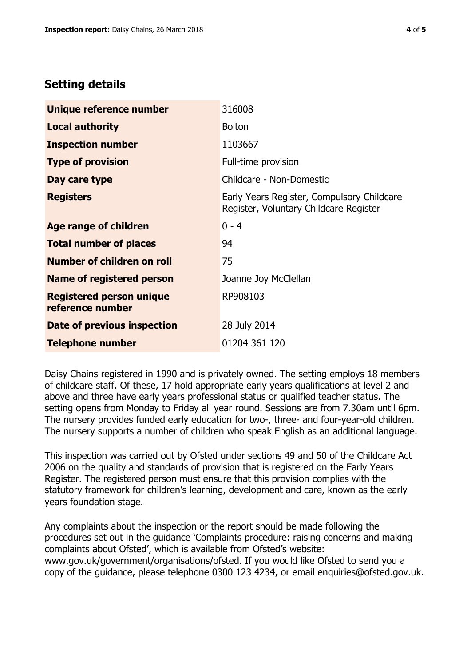# **Setting details**

| Unique reference number                             | 316008                                                                               |
|-----------------------------------------------------|--------------------------------------------------------------------------------------|
| <b>Local authority</b>                              | <b>Bolton</b>                                                                        |
| <b>Inspection number</b>                            | 1103667                                                                              |
| <b>Type of provision</b>                            | Full-time provision                                                                  |
| Day care type                                       | Childcare - Non-Domestic                                                             |
| <b>Registers</b>                                    | Early Years Register, Compulsory Childcare<br>Register, Voluntary Childcare Register |
| Age range of children                               | $0 - 4$                                                                              |
| <b>Total number of places</b>                       | 94                                                                                   |
| Number of children on roll                          | 75                                                                                   |
| Name of registered person                           | Joanne Joy McClellan                                                                 |
| <b>Registered person unique</b><br>reference number | RP908103                                                                             |
| Date of previous inspection                         | 28 July 2014                                                                         |
| <b>Telephone number</b>                             | 01204 361 120                                                                        |

Daisy Chains registered in 1990 and is privately owned. The setting employs 18 members of childcare staff. Of these, 17 hold appropriate early years qualifications at level 2 and above and three have early years professional status or qualified teacher status. The setting opens from Monday to Friday all year round. Sessions are from 7.30am until 6pm. The nursery provides funded early education for two-, three- and four-year-old children. The nursery supports a number of children who speak English as an additional language.

This inspection was carried out by Ofsted under sections 49 and 50 of the Childcare Act 2006 on the quality and standards of provision that is registered on the Early Years Register. The registered person must ensure that this provision complies with the statutory framework for children's learning, development and care, known as the early years foundation stage.

Any complaints about the inspection or the report should be made following the procedures set out in the guidance 'Complaints procedure: raising concerns and making complaints about Ofsted', which is available from Ofsted's website: www.gov.uk/government/organisations/ofsted. If you would like Ofsted to send you a copy of the guidance, please telephone 0300 123 4234, or email enquiries@ofsted.gov.uk.